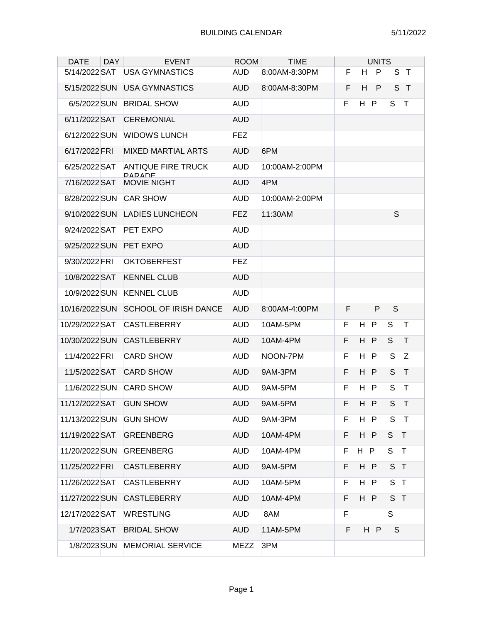| <b>DATE</b>    | <b>DAY</b> | <b>EVENT</b>                        | <b>ROOM</b> | <b>TIME</b>    | <b>UNITS</b> |     |     |     |              |
|----------------|------------|-------------------------------------|-------------|----------------|--------------|-----|-----|-----|--------------|
| 5/14/2022 SAT  |            | <b>USA GYMNASTICS</b>               | <b>AUD</b>  | 8:00AM-8:30PM  | F            | H   | P   |     | S T          |
| 5/15/2022 SUN  |            | <b>USA GYMNASTICS</b>               | <b>AUD</b>  | 8:00AM-8:30PM  | F            | H   | P   |     | S T          |
| 6/5/2022 SUN   |            | <b>BRIDAL SHOW</b>                  | AUD         |                | F            | H P |     | S   | $\top$       |
| 6/11/2022 SAT  |            | <b>CEREMONIAL</b>                   | <b>AUD</b>  |                |              |     |     |     |              |
| 6/12/2022 SUN  |            | <b>WIDOWS LUNCH</b>                 | <b>FEZ</b>  |                |              |     |     |     |              |
| 6/17/2022 FRI  |            | <b>MIXED MARTIAL ARTS</b>           | <b>AUD</b>  | 6PM            |              |     |     |     |              |
| 6/25/2022 SAT  |            | <b>ANTIQUE FIRE TRUCK</b><br>PARANE | AUD         | 10:00AM-2:00PM |              |     |     |     |              |
| 7/16/2022 SAT  |            | <b>MOVIE NIGHT</b>                  | <b>AUD</b>  | 4PM            |              |     |     |     |              |
| 8/28/2022 SUN  |            | <b>CAR SHOW</b>                     | AUD         | 10:00AM-2:00PM |              |     |     |     |              |
| 9/10/2022 SUN  |            | <b>LADIES LUNCHEON</b>              | <b>FEZ</b>  | 11:30AM        |              |     |     | S   |              |
| 9/24/2022 SAT  |            | PET EXPO                            | <b>AUD</b>  |                |              |     |     |     |              |
| 9/25/2022 SUN  |            | PET EXPO                            | <b>AUD</b>  |                |              |     |     |     |              |
| 9/30/2022 FRI  |            | <b>OKTOBERFEST</b>                  | <b>FEZ</b>  |                |              |     |     |     |              |
| 10/8/2022 SAT  |            | <b>KENNEL CLUB</b>                  | <b>AUD</b>  |                |              |     |     |     |              |
| 10/9/2022 SUN  |            | <b>KENNEL CLUB</b>                  | <b>AUD</b>  |                |              |     |     |     |              |
| 10/16/2022 SUN |            | <b>SCHOOL OF IRISH DANCE</b>        | <b>AUD</b>  | 8:00AM-4:00PM  | F            |     | P   | S   |              |
| 10/29/2022 SAT |            | <b>CASTLEBERRY</b>                  | AUD         | 10AM-5PM       | F            | H.  | P   | S   | $\top$       |
| 10/30/2022 SUN |            | <b>CASTLEBERRY</b>                  | <b>AUD</b>  | 10AM-4PM       | F            | H.  | P   | S   | T            |
| 11/4/2022 FRI  |            | <b>CARD SHOW</b>                    | AUD         | NOON-7PM       | F            | H   | P   | S   | Z            |
| 11/5/2022 SAT  |            | <b>CARD SHOW</b>                    | <b>AUD</b>  | 9AM-3PM        | F            | H P |     | S   | $\mathsf{T}$ |
| 11/6/2022 SUN  |            | <b>CARD SHOW</b>                    | AUD         | 9AM-5PM        | F            | H.  | P   | S   | $\top$       |
| 11/12/2022 SAT |            | <b>GUN SHOW</b>                     | <b>AUD</b>  | 9AM-5PM        | F            | H.  | P   | S   | Τ            |
| 11/13/2022 SUN |            | <b>GUN SHOW</b>                     | <b>AUD</b>  | 9AM-3PM        | F            | H P |     | S   | $\top$       |
| 11/19/2022 SAT |            | <b>GREENBERG</b>                    | <b>AUD</b>  | 10AM-4PM       | F            | H P |     | S T |              |
| 11/20/2022 SUN |            | <b>GREENBERG</b>                    | <b>AUD</b>  | 10AM-4PM       | F            | H P |     | S   | $\top$       |
| 11/25/2022 FRI |            | <b>CASTLEBERRY</b>                  | <b>AUD</b>  | 9AM-5PM        | F            | H P |     | S T |              |
| 11/26/2022 SAT |            | <b>CASTLEBERRY</b>                  | <b>AUD</b>  | 10AM-5PM       | F            | H P |     | S T |              |
| 11/27/2022 SUN |            | <b>CASTLEBERRY</b>                  | <b>AUD</b>  | 10AM-4PM       | F            | H P |     | S T |              |
| 12/17/2022 SAT |            | <b>WRESTLING</b>                    | <b>AUD</b>  | 8AM            | F            |     |     | S   |              |
| 1/7/2023 SAT   |            | <b>BRIDAL SHOW</b>                  | <b>AUD</b>  | 11AM-5PM       | F            |     | H P | S   |              |
|                |            | 1/8/2023 SUN MEMORIAL SERVICE       | MEZZ        | 3PM            |              |     |     |     |              |